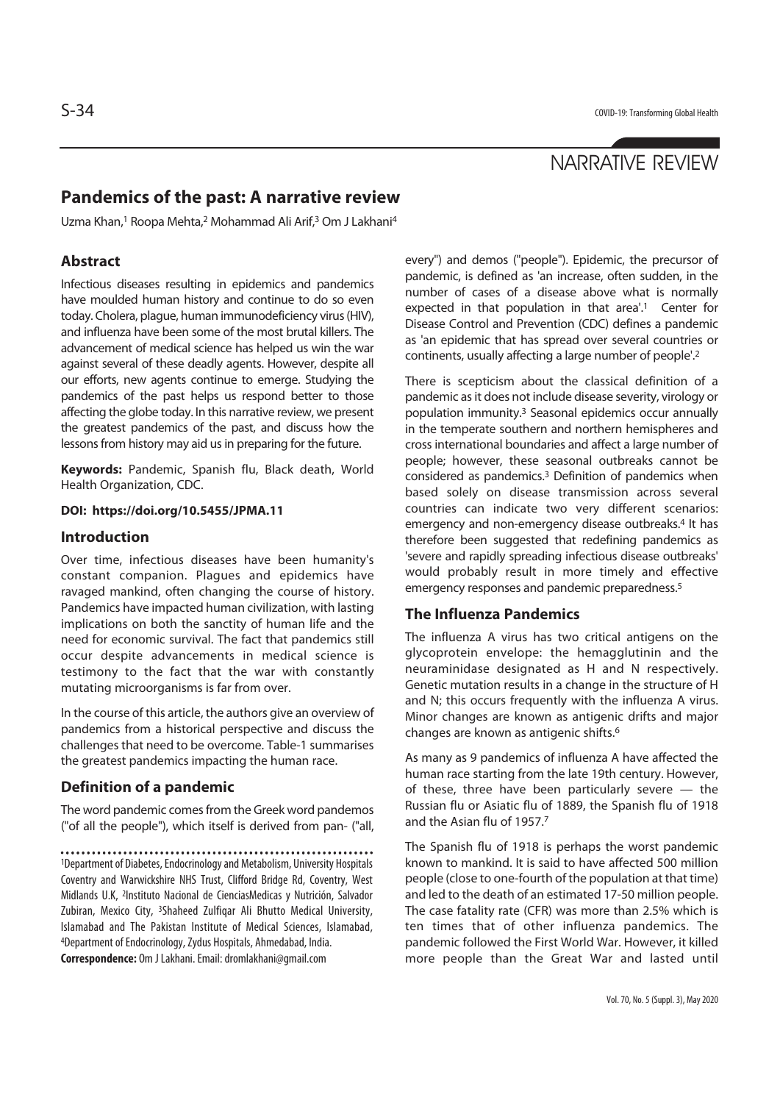# NARRATIVE REVIEW

## **Pandemics of the past: A narrative review**

Uzma Khan,1 Roopa Mehta,2 Mohammad Ali Arif,3 Om J Lakhani4

## **Abstract**

Infectious diseases resulting in epidemics and pandemics have moulded human history and continue to do so even today. Cholera, plague, human immunodeficiency virus (HIV), and influenza have been some of the most brutal killers. The advancement of medical science has helped us win the war against several of these deadly agents. However, despite all our efforts, new agents continue to emerge. Studying the pandemics of the past helps us respond better to those affecting the globe today. In this narrative review, we present the greatest pandemics of the past, and discuss how the lessons from history may aid us in preparing for the future.

**Keywords:** Pandemic, Spanish flu, Black death, World Health Organization, CDC.

#### **DOI: https://doi.org/10.5455/JPMA.11**

#### **Introduction**

Over time, infectious diseases have been humanity's constant companion. Plagues and epidemics have ravaged mankind, often changing the course of history. Pandemics have impacted human civilization, with lasting implications on both the sanctity of human life and the need for economic survival. The fact that pandemics still occur despite advancements in medical science is testimony to the fact that the war with constantly mutating microorganisms is far from over.

In the course of this article, the authors give an overview of pandemics from a historical perspective and discuss the challenges that need to be overcome. Table-1 summarises the greatest pandemics impacting the human race.

### **Definition of a pandemic**

The word pandemic comes from the Greek word pandemos ("of all the people"), which itself is derived from pan- ("all,

1Department of Diabetes, Endocrinology and Metabolism, University Hospitals Coventry and Warwickshire NHS Trust, Clifford Bridge Rd, Coventry, West Midlands U.K, 2Instituto Nacional de CienciasMedicas y Nutrición, Salvador Zubiran, Mexico City, 3Shaheed Zulfiqar Ali Bhutto Medical University, Islamabad and The Pakistan Institute of Medical Sciences, Islamabad, 4Department of Endocrinology, Zydus Hospitals, Ahmedabad, India. **Correspondence:** Om J Lakhani. Email: dromlakhani@gmail.com

every") and demos ("people"). Epidemic, the precursor of pandemic, is defined as 'an increase, often sudden, in the number of cases of a disease above what is normally expected in that population in that area'.<sup>1</sup> Center for Disease Control and Prevention (CDC) defines a pandemic as 'an epidemic that has spread over several countries or continents, usually affecting a large number of people'.2

There is scepticism about the classical definition of a pandemic as it does not include disease severity, virology or population immunity.3 Seasonal epidemics occur annually in the temperate southern and northern hemispheres and cross international boundaries and affect a large number of people; however, these seasonal outbreaks cannot be considered as pandemics.3 Definition of pandemics when based solely on disease transmission across several countries can indicate two very different scenarios: emergency and non-emergency disease outbreaks.4 It has therefore been suggested that redefining pandemics as 'severe and rapidly spreading infectious disease outbreaks' would probably result in more timely and effective emergency responses and pandemic preparedness.5

#### **The Influenza Pandemics**

The influenza A virus has two critical antigens on the glycoprotein envelope: the hemagglutinin and the neuraminidase designated as H and N respectively. Genetic mutation results in a change in the structure of H and N; this occurs frequently with the influenza A virus. Minor changes are known as antigenic drifts and major changes are known as antigenic shifts.6

As many as 9 pandemics of influenza A have affected the human race starting from the late 19th century. However, of these, three have been particularly severe — the Russian flu or Asiatic flu of 1889, the Spanish flu of 1918 and the Asian flu of 1957.7

The Spanish flu of 1918 is perhaps the worst pandemic known to mankind. It is said to have affected 500 million people (close to one-fourth of the population at that time) and led to the death of an estimated 17-50 million people. The case fatality rate (CFR) was more than 2.5% which is ten times that of other influenza pandemics. The pandemic followed the First World War. However, it killed more people than the Great War and lasted until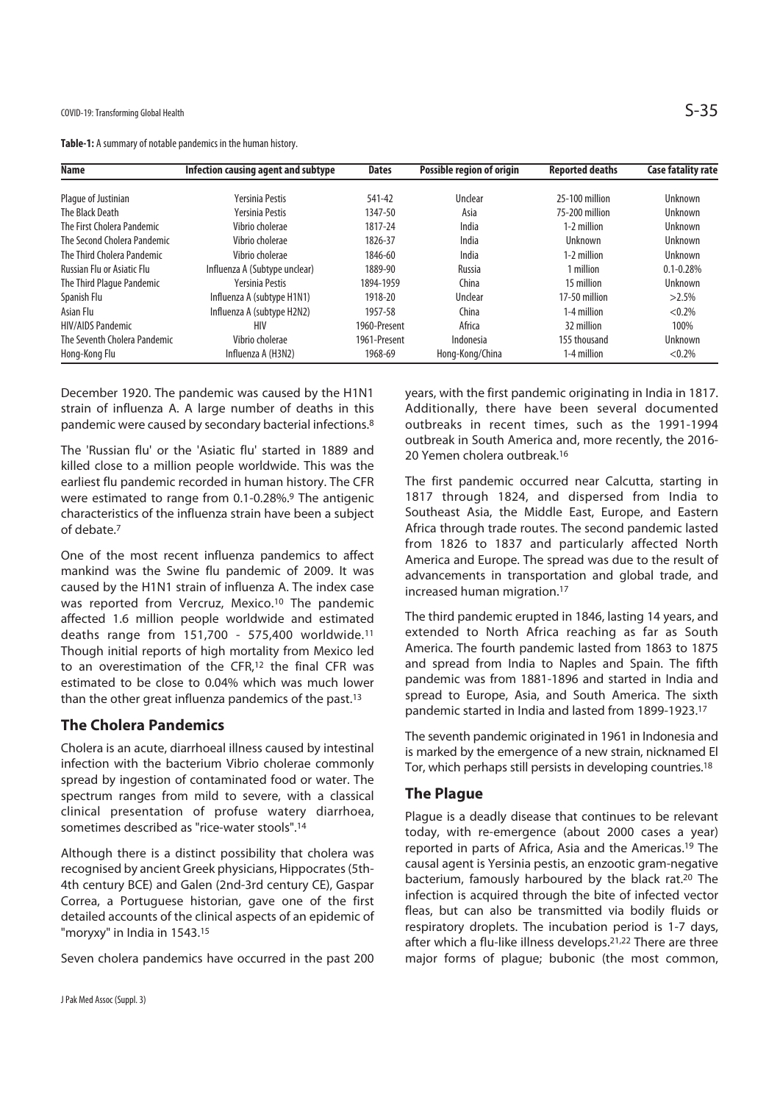**Table-1:** A summary of notable pandemics in the human history.

| <b>Name</b>                       | <b>Infection causing agent and subtype</b> | <b>Dates</b> | Possible region of origin | <b>Reported deaths</b> | <b>Case fatality rate</b> |
|-----------------------------------|--------------------------------------------|--------------|---------------------------|------------------------|---------------------------|
| Plaque of Justinian               | Yersinia Pestis                            | 541-42       | Unclear                   | 25-100 million         | Unknown                   |
| The Black Death                   | Yersinia Pestis                            | 1347-50      | Asia                      | 75-200 million         | Unknown                   |
| The First Cholera Pandemic        | Vibrio cholerae                            | 1817-24      | India                     | 1-2 million            | Unknown                   |
| The Second Cholera Pandemic       | Vibrio cholerae                            | 1826-37      | India                     | Unknown                | Unknown                   |
| The Third Cholera Pandemic        | Vibrio cholerae                            | 1846-60      | India                     | 1-2 million            | Unknown                   |
| <b>Russian Flu or Asiatic Flu</b> | Influenza A (Subtype unclear)              | 1889-90      | Russia                    | 1 million              | $0.1 - 0.28%$             |
| The Third Plague Pandemic         | Yersinia Pestis                            | 1894-1959    | China                     | 15 million             | Unknown                   |
| Spanish Flu                       | Influenza A (subtype H1N1)                 | 1918-20      | Unclear                   | 17-50 million          | $>2.5\%$                  |
| Asian Flu                         | Influenza A (subtype H2N2)                 | 1957-58      | China                     | 1-4 million            | $< 0.2\%$                 |
| <b>HIV/AIDS Pandemic</b>          | HIV                                        | 1960-Present | Africa                    | 32 million             | 100%                      |
| The Seventh Cholera Pandemic      | Vibrio cholerae                            | 1961-Present | Indonesia                 | 155 thousand           | Unknown                   |
| Hong-Kong Flu                     | Influenza A (H3N2)                         | 1968-69      | Hong-Kong/China           | 1-4 million            | $< 0.2\%$                 |

December 1920. The pandemic was caused by the H1N1 strain of influenza A. A large number of deaths in this pandemic were caused by secondary bacterial infections.8

The 'Russian flu' or the 'Asiatic flu' started in 1889 and killed close to a million people worldwide. This was the earliest flu pandemic recorded in human history. The CFR were estimated to range from 0.1-0.28%.9 The antigenic characteristics of the influenza strain have been a subject of debate.7

One of the most recent influenza pandemics to affect mankind was the Swine flu pandemic of 2009. It was caused by the H1N1 strain of influenza A. The index case was reported from Vercruz, Mexico.10 The pandemic affected 1.6 million people worldwide and estimated deaths range from 151,700 - 575,400 worldwide.11 Though initial reports of high mortality from Mexico led to an overestimation of the CFR,12 the final CFR was estimated to be close to 0.04% which was much lower than the other great influenza pandemics of the past.13

## **The Cholera Pandemics**

Cholera is an acute, diarrhoeal illness caused by intestinal infection with the bacterium Vibrio cholerae commonly spread by ingestion of contaminated food or water. The spectrum ranges from mild to severe, with a classical clinical presentation of profuse watery diarrhoea, sometimes described as "rice-water stools".14

Although there is a distinct possibility that cholera was recognised by ancient Greek physicians, Hippocrates (5th-4th century BCE) and Galen (2nd-3rd century CE), Gaspar Correa, a Portuguese historian, gave one of the first detailed accounts of the clinical aspects of an epidemic of "moryxy" in India in 1543.15

Seven cholera pandemics have occurred in the past 200

years, with the first pandemic originating in India in 1817. Additionally, there have been several documented outbreaks in recent times, such as the 1991-1994 outbreak in South America and, more recently, the 2016- 20 Yemen cholera outbreak.16

The first pandemic occurred near Calcutta, starting in 1817 through 1824, and dispersed from India to Southeast Asia, the Middle East, Europe, and Eastern Africa through trade routes. The second pandemic lasted from 1826 to 1837 and particularly affected North America and Europe. The spread was due to the result of advancements in transportation and global trade, and increased human migration.17

The third pandemic erupted in 1846, lasting 14 years, and extended to North Africa reaching as far as South America. The fourth pandemic lasted from 1863 to 1875 and spread from India to Naples and Spain. The fifth pandemic was from 1881-1896 and started in India and spread to Europe, Asia, and South America. The sixth pandemic started in India and lasted from 1899-1923.17

The seventh pandemic originated in 1961 in Indonesia and is marked by the emergence of a new strain, nicknamed El Tor, which perhaps still persists in developing countries.18

## **The Plague**

Plague is a deadly disease that continues to be relevant today, with re-emergence (about 2000 cases a year) reported in parts of Africa, Asia and the Americas.19 The causal agent is Yersinia pestis, an enzootic gram-negative bacterium, famously harboured by the black rat.20 The infection is acquired through the bite of infected vector fleas, but can also be transmitted via bodily fluids or respiratory droplets. The incubation period is 1-7 days, after which a flu-like illness develops.<sup>21,22</sup> There are three major forms of plague; bubonic (the most common,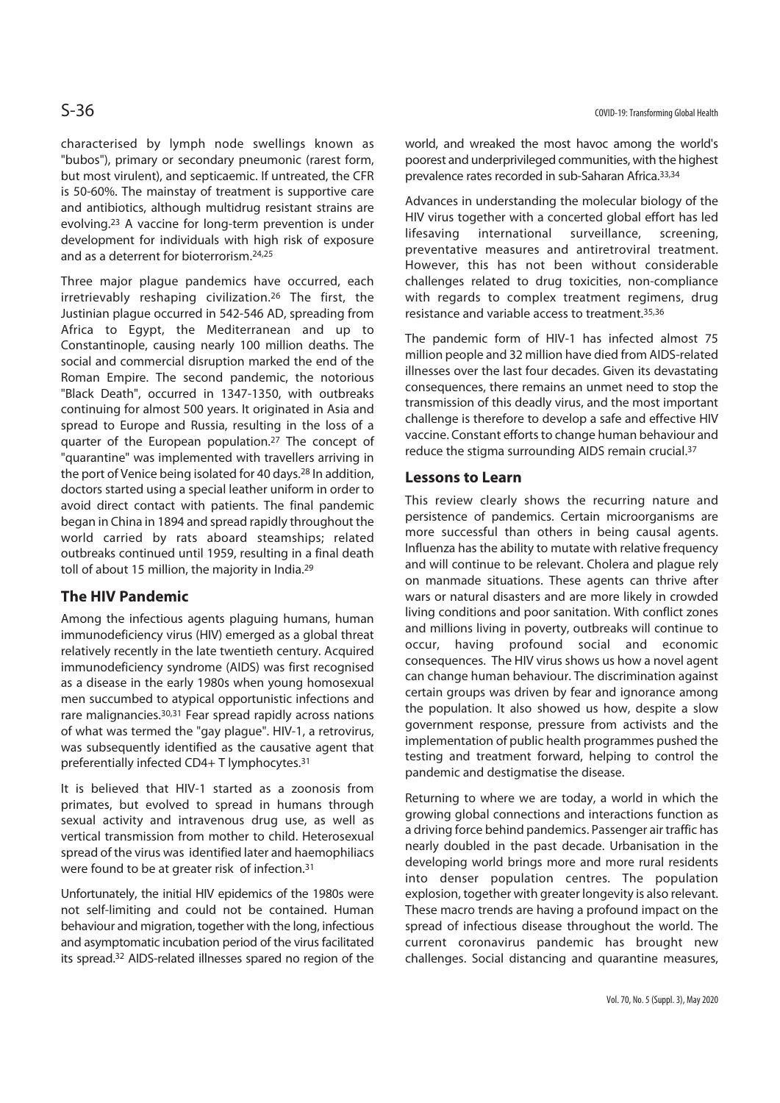characterised by lymph node swellings known as "bubos"), primary or secondary pneumonic (rarest form, but most virulent), and septicaemic. If untreated, the CFR is 50-60%. The mainstay of treatment is supportive care and antibiotics, although multidrug resistant strains are evolving.23 A vaccine for long-term prevention is under development for individuals with high risk of exposure and as a deterrent for bioterrorism.24,25

Three major plague pandemics have occurred, each irretrievably reshaping civilization.26 The first, the Justinian plague occurred in 542-546 AD, spreading from Africa to Egypt, the Mediterranean and up to Constantinople, causing nearly 100 million deaths. The social and commercial disruption marked the end of the Roman Empire. The second pandemic, the notorious "Black Death", occurred in 1347-1350, with outbreaks continuing for almost 500 years. It originated in Asia and spread to Europe and Russia, resulting in the loss of a quarter of the European population.27 The concept of "quarantine" was implemented with travellers arriving in the port of Venice being isolated for 40 days.28 In addition, doctors started using a special leather uniform in order to avoid direct contact with patients. The final pandemic began in China in 1894 and spread rapidly throughout the world carried by rats aboard steamships; related outbreaks continued until 1959, resulting in a final death toll of about 15 million, the majority in India.<sup>29</sup>

## **The HIV Pandemic**

Among the infectious agents plaguing humans, human immunodeficiency virus (HIV) emerged as a global threat relatively recently in the late twentieth century. Acquired immunodeficiency syndrome (AIDS) was first recognised as a disease in the early 1980s when young homosexual men succumbed to atypical opportunistic infections and rare malignancies.30,31 Fear spread rapidly across nations of what was termed the "gay plague". HIV-1, a retrovirus, was subsequently identified as the causative agent that preferentially infected CD4+ T lymphocytes.31

It is believed that HIV-1 started as a zoonosis from primates, but evolved to spread in humans through sexual activity and intravenous drug use, as well as vertical transmission from mother to child. Heterosexual spread of the virus was identified later and haemophiliacs were found to be at greater risk of infection.31

Unfortunately, the initial HIV epidemics of the 1980s were not self-limiting and could not be contained. Human behaviour and migration, together with the long, infectious and asymptomatic incubation period of the virus facilitated its spread.32 AIDS-related illnesses spared no region of the world, and wreaked the most havoc among the world's poorest and underprivileged communities, with the highest prevalence rates recorded in sub-Saharan Africa.33,34

Advances in understanding the molecular biology of the HIV virus together with a concerted global effort has led lifesaving international surveillance, screening, preventative measures and antiretroviral treatment. However, this has not been without considerable challenges related to drug toxicities, non-compliance with regards to complex treatment regimens, drug resistance and variable access to treatment.35,36

The pandemic form of HIV-1 has infected almost 75 million people and 32 million have died from AIDS-related illnesses over the last four decades. Given its devastating consequences, there remains an unmet need to stop the transmission of this deadly virus, and the most important challenge is therefore to develop a safe and effective HIV vaccine. Constant efforts to change human behaviour and reduce the stigma surrounding AIDS remain crucial.37

## **Lessons to Learn**

This review clearly shows the recurring nature and persistence of pandemics. Certain microorganisms are more successful than others in being causal agents. Influenza has the ability to mutate with relative frequency and will continue to be relevant. Cholera and plague rely on manmade situations. These agents can thrive after wars or natural disasters and are more likely in crowded living conditions and poor sanitation. With conflict zones and millions living in poverty, outbreaks will continue to occur, having profound social and economic consequences. The HIV virus shows us how a novel agent can change human behaviour. The discrimination against certain groups was driven by fear and ignorance among the population. It also showed us how, despite a slow government response, pressure from activists and the implementation of public health programmes pushed the testing and treatment forward, helping to control the pandemic and destigmatise the disease.

Returning to where we are today, a world in which the growing global connections and interactions function as a driving force behind pandemics. Passenger air traffic has nearly doubled in the past decade. Urbanisation in the developing world brings more and more rural residents into denser population centres. The population explosion, together with greater longevity is also relevant. These macro trends are having a profound impact on the spread of infectious disease throughout the world. The current coronavirus pandemic has brought new challenges. Social distancing and quarantine measures,